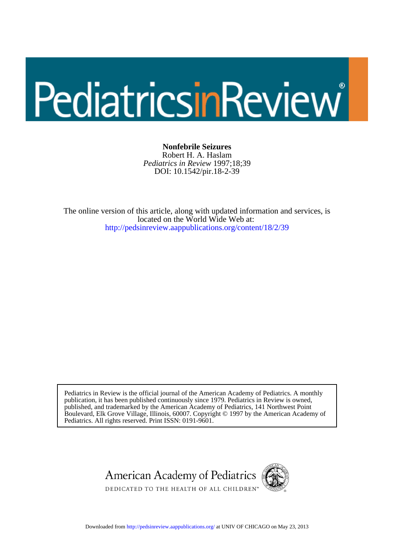# PediatricsinReview

DOI: 10.1542/pir.18-2-39 *Pediatrics in Review* 1997;18;39 Robert H. A. Haslam **Nonfebrile Seizures**

<http://pedsinreview.aappublications.org/content/18/2/39> located on the World Wide Web at: The online version of this article, along with updated information and services, is

Pediatrics. All rights reserved. Print ISSN: 0191-9601. Boulevard, Elk Grove Village, Illinois, 60007. Copyright © 1997 by the American Academy of published, and trademarked by the American Academy of Pediatrics, 141 Northwest Point publication, it has been published continuously since 1979. Pediatrics in Review is owned, Pediatrics in Review is the official journal of the American Academy of Pediatrics. A monthly

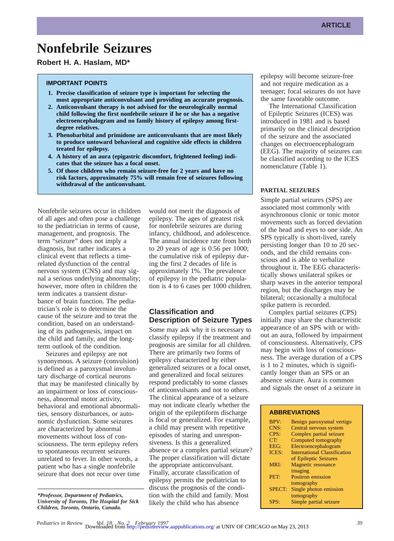# **Nonfebrile Seizures**

**Robert H. A. Haslam, MD\***

#### **IMPORTANT POINTS**

- **1. Precise classification of seizure type is important for selecting the most appropriate anticonvulsant and providing an accurate prognosis.**
- **2. Anticonvulsant therapy is not advised for the neurologically normal child following the first nonfebrile seizure if he or she has a negative electroencephalogram and no family history of epilepsy among firstdegree relatives.**
- **3. Phenobarbital and primidone are anticonvulsants that are most likely to produce untoward behavioral and cognitive side effects in children treated for epilepsy.**
- **4. A history of an aura (epigastric discomfort, frightened feeling) indicates that the seizure has a focal onset.**
- **5. Of those children who remain seizure-free for 2 years and have no risk factors, approximately 75% will remain free of seizures following withdrawal of the anticonvulsant.**

Nonfebrile seizures occur in children of all ages and often pose a challenge to the pediatrician in terms of cause, management, and prognosis. The term "seizure" does not imply a diagnosis, but rather indicates a clinical event that reflects a timerelated dysfunction of the central nervous system (CNS) and may signal a serious underlying abnormality; however, more often in children the term indicates a transient disturbance of brain function. The pediatrician's role is to determine the cause of the seizure and to treat the condition, based on an understanding of its pathogenesis, impact on the child and family, and the longterm outlook of the condition.

Seizures and epilepsy are not synonymous. A seizure (convulsion) is defined as a paroxysmal involuntary discharge of cortical neurons that may be manifested clinically by an impairment or loss of consciousness, abnormal motor activity, behavioral and emotional abnormalities, sensory disturbances, or autonomic dysfunction. Some seizures are characterized by abnormal movements without loss of consciousness. The term epilepsy refers to spontaneous recurrent seizures unrelated to fever. In other words, a patient who has a single nonfebrile seizure that does not recur over time

*\*Professor, Department of Pediatrics, University of Toronto, The Hospital for Sick Children, Toronto, Ontario, Canada.*

would not merit the diagnosis of epilepsy. The ages of greatest risk for nonfebrile seizures are during infancy, childhood, and adolescence. The annual incidence rate from birth to 20 years of age is 0.56 per 1000; the cumulative risk of epilepsy during the first 2 decades of life is approximately 1%. The prevalence of epilepsy in the pediatric population is 4 to 6 cases per 1000 children.

### **Classification and Description of Seizure Types**

Some may ask why it is necessary to classify epilepsy if the treatment and prognosis are similar for all children. There are primarily two forms of epilepsy characterized by either generalized seizures or a focal onset, and generalized and focal seizures respond predictably to some classes of anticonvulsants and not to others. The clinical appearance of a seizure may not indicate clearly whether the origin of the epileptiform discharge is focal or generalized. For example, a child may present with repetitive episodes of staring and unresponsiveness. Is this a generalized absence or a complex partial seizure? The proper classification will dictate the appropriate anticonvulsant. Finally, accurate classification of epilepsy permits the pediatrician to discuss the prognosis of the condition with the child and family. Most likely the child who has absence

epilepsy will become seizure-free and not require medication as a teenager; focal seizures do not have the same favorable outcome.

The International Classification of Epileptic Seizures (ICES) was introduced in 1981 and is based primarily on the clinical description of the seizure and the associated changes on electroencephalogram (EEG). The majority of seizures can be classified according to the ICES nomenclature (Table 1).

#### **PARTIAL SEIZURES**

Simple partial seizures (SPS) are associated most commonly with asynchronous clonic or tonic motor movements such as forced deviation of the head and eyes to one side. An SPS typically is short-lived, rarely persisting longer than 10 to 20 seconds, and the child remains conscious and is able to verbalize throughout it. The EEG characteristically shows unilateral spikes or sharp waves in the anterior temporal region, but the discharges may be bilateral; occasionally a multifocal spike pattern is recorded.

Complex partial seizures (CPS) initially may share the characteristic appearance of an SPS with or without an aura, followed by impairment of consciousness. Alternatively, CPS may begin with loss of consciousness. The average duration of a CPS is 1 to 2 minutes, which is significantly longer than an SPS or an absence seizure. Aura is common and signals the onset of a seizure in

#### **ABBREVIATIONS**

| <b>BPV:</b>   | Benign paroxysmal vertigo           |
|---------------|-------------------------------------|
| CNS:          | Central nervous system              |
| CPS:          | Complex partial seizure             |
| CT:           | Computed tomography                 |
| EEG:          | Electroencephalogram                |
| <b>ICES:</b>  | <b>International Classification</b> |
|               | of Epileptic Seizures               |
| MRI:          | Magnetic resonance                  |
|               | imaging                             |
| PET:          | Positron emission                   |
|               | tomography                          |
| <b>SPECT:</b> | Single photon emission              |
|               | tomography                          |
| SPS:          | Simple partial seizure              |
|               |                                     |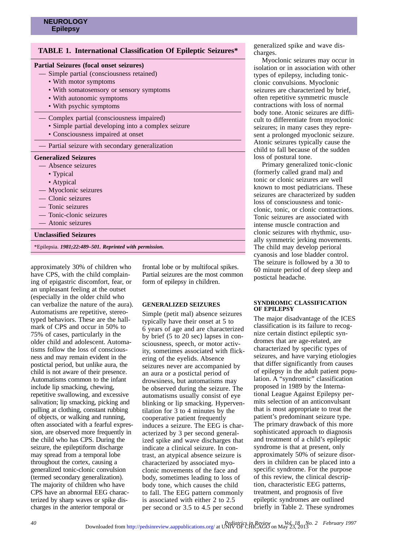| <b>TABLE 1. International Classification Of Epileptic Seizures*</b> |
|---------------------------------------------------------------------|
| Partial Seizures (focal onset seizures)                             |
| — Simple partial (consciousness retained)                           |
| • With motor symptoms<br>• With somatosensory or sensory symptoms   |
| • With autonomic symptoms                                           |
| • With psychic symptoms                                             |
| — Complex partial (consciousness impaired)                          |
| • Simple partial developing into a complex seizure                  |
| • Consciousness impaired at onset                                   |
| - Partial seizure with secondary generalization                     |
| <b>Generalized Seizures</b>                                         |
| — Absence seizures                                                  |
| • Typical                                                           |
| • Atypical                                                          |
| - Myoclonic seizures                                                |
| — Clonic seizures                                                   |
| — Tonic seizures                                                    |
|                                                                     |
| — Tonic-clonic seizures                                             |
| — Atonic seizures                                                   |
| <b>Unclassified Seizures</b>                                        |
| *Epilepsia. 1981;22:489-501. Reprinted with permission.             |

approximately 30% of children who have CPS, with the child complaining of epigastric discomfort, fear, or an unpleasant feeling at the outset (especially in the older child who can verbalize the nature of the aura). Automatisms are repetitive, stereotyped behaviors. These are the hallmark of CPS and occur in 50% to 75% of cases, particularly in the older child and adolescent. Automatisms follow the loss of consciousness and may remain evident in the postictal period, but unlike aura, the child is not aware of their presence. Automatisms common to the infant include lip smacking, chewing, repetitive swallowing, and excessive salivation; lip smacking, picking and pulling at clothing, constant rubbing of objects, or walking and running, often associated with a fearful expression, are observed more frequently in the child who has CPS. During the seizure, the epileptiform discharge may spread from a temporal lobe throughout the cortex, causing a generalized tonic-clonic convulsion (termed secondary generalization). The majority of children who have CPS have an abnormal EEG characterized by sharp waves or spike discharges in the anterior temporal or

frontal lobe or by multifocal spikes. Partial seizures are the most common form of epilepsy in children.

#### **GENERALIZED SEIZURES**

Simple (petit mal) absence seizures typically have their onset at 5 to 6 years of age and are characterized by brief (5 to 20 sec) lapses in consciousness, speech, or motor activity, sometimes associated with flickering of the eyelids. Absence seizures never are accompanied by an aura or a postictal period of drowsiness, but automatisms may be observed during the seizure. The automatisms usually consist of eye blinking or lip smacking. Hyperventilation for 3 to 4 minutes by the cooperative patient frequently induces a seizure. The EEG is characterized by 3 per second generalized spike and wave discharges that indicate a clinical seizure. In contrast, an atypical absence seizure is characterized by associated myoclonic movements of the face and body, sometimes leading to loss of body tone, which causes the child to fall. The EEG pattern commonly is associated with either 2 to 2.5 per second or 3.5 to 4.5 per second

generalized spike and wave discharges.

Myoclonic seizures may occur in isolation or in association with other types of epilepsy, including tonicclonic convulsions. Myoclonic seizures are characterized by brief, often repetitive symmetric muscle contractions with loss of normal body tone. Atonic seizures are difficult to differentiate from myoclonic seizures; in many cases they represent a prolonged myoclonic seizure. Atonic seizures typically cause the child to fall because of the sudden loss of postural tone.

Primary generalized tonic-clonic (formerly called grand mal) and tonic or clonic seizures are well known to most pediatricians. These seizures are characterized by sudden loss of consciousness and tonicclonic, tonic, or clonic contractions. Tonic seizures are associated with intense muscle contraction and clonic seizures with rhythmic, usually symmetric jerking movements. The child may develop perioral cyanosis and lose bladder control. The seizure is followed by a 30 to 60 minute period of deep sleep and postictal headache.

#### **SYNDROMIC CLASSIFICATION OF EPILEPSY**

The major disadvantage of the ICES classification is its failure to recognize certain distinct epileptic syndromes that are age-related, are characterized by specific types of seizures, and have varying etiologies that differ significantly from causes of epilepsy in the adult patient population. A "syndromic" classification proposed in 1989 by the International League Against Epilepsy permits selection of an anticonvulsant that is most appropriate to treat the patient's predominant seizure type. The primary drawback of this more sophisticated approach to diagnosis and treatment of a child's epileptic syndrome is that at present, only approximately 50% of seizure disorders in children can be placed into a specific syndrome. For the purpose of this review, the clinical description, characteristic EEG patterns, treatment, and prognosis of five epileptic syndromes are outlined briefly in Table 2. These syndromes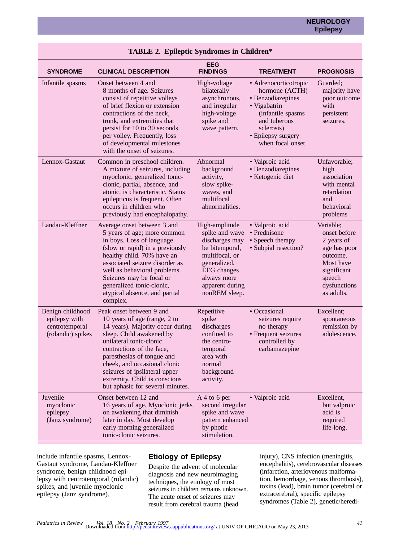| <b>SYNDROME</b>                                                          | <b>CLINICAL DESCRIPTION</b>                                                                                                                                                                                                                                                                                                                          | <b>EEG</b><br><b>FINDINGS</b>                                                                                                                                                   | <b>TREATMENT</b>                                                                                                                                                          | <b>PROGNOSIS</b>                                                                                                                        |
|--------------------------------------------------------------------------|------------------------------------------------------------------------------------------------------------------------------------------------------------------------------------------------------------------------------------------------------------------------------------------------------------------------------------------------------|---------------------------------------------------------------------------------------------------------------------------------------------------------------------------------|---------------------------------------------------------------------------------------------------------------------------------------------------------------------------|-----------------------------------------------------------------------------------------------------------------------------------------|
| Infantile spasms                                                         | Onset between 4 and<br>8 months of age. Seizures<br>consist of repetitive volleys<br>of brief flexion or extension<br>contractions of the neck,<br>trunk, and extremities that<br>persist for 10 to 30 seconds<br>per volley. Frequently, loss<br>of developmental milestones<br>with the onset of seizures.                                         | High-voltage<br>bilaterally<br>asynchronous,<br>and irregular<br>high-voltage<br>spike and<br>wave pattern.                                                                     | · Adrenocorticotropic<br>hormone (ACTH)<br>· Benzodiazepines<br>• Vigabatrin<br>(infantile spasms<br>and tuberous<br>sclerosis)<br>• Epilepsy surgery<br>when focal onset | Guarded;<br>majority have<br>poor outcome<br>with<br>persistent<br>seizures.                                                            |
| Lennox-Gastaut                                                           | Common in preschool children.<br>A mixture of seizures, including<br>myoclonic, generalized tonic-<br>clonic, partial, absence, and<br>atonic, is characteristic. Status<br>epilepticus is frequent. Often<br>occurs in children who<br>previously had encephalopathy.                                                                               | Abnormal<br>background<br>activity,<br>slow spike-<br>waves, and<br>multifocal<br>abnormalities.                                                                                | · Valproic acid<br>· Benzodiazepines<br>· Ketogenic diet                                                                                                                  | Unfavorable;<br>high<br>association<br>with mental<br>retardation<br>and<br>behavioral<br>problems                                      |
| Landau-Kleffner                                                          | Average onset between 3 and<br>5 years of age; more common<br>in boys. Loss of language<br>(slow or rapid) in a previously<br>healthy child. 70% have an<br>associated seizure disorder as<br>well as behavioral problems.<br>Seizures may be focal or<br>generalized tonic-clonic,<br>atypical absence, and partial<br>complex.                     | High-amplitude<br>spike and wave<br>discharges may<br>be bitemporal,<br>multifocal, or<br>generalized.<br><b>EEG</b> changes<br>always more<br>apparent during<br>nonREM sleep. | · Valproic acid<br>• Prednisone<br>• Speech therapy<br>· Subpial resection?                                                                                               | Variable;<br>onset before<br>2 years of<br>age has poor<br>outcome.<br>Most have<br>significant<br>speech<br>dysfunctions<br>as adults. |
| Benign childhood<br>epilepsy with<br>centrotemporal<br>(rolandic) spikes | Peak onset between 9 and<br>10 years of age (range, 2 to<br>14 years). Majority occur during<br>sleep. Child awakened by<br>unilateral tonic-clonic<br>contractions of the face,<br>paresthesias of tongue and<br>cheek, and occasional clonic<br>seizures of ipsilateral upper<br>extremity. Child is conscious<br>but aphasic for several minutes. | Repetitive<br>spike<br>discharges<br>confined to<br>the centro-<br>temporal<br>area with<br>normal<br>background<br>activity.                                                   | • Occasional<br>seizures require<br>no therapy<br>• Frequent seizures<br>controlled by<br>carbamazepine                                                                   | Excellent;<br>spontaneous<br>remission by<br>adolescence.                                                                               |
| Juvenile<br>myoclonic<br>epilepsy<br>(Janz syndrome)                     | Onset between 12 and<br>16 years of age. Myoclonic jerks<br>on awakening that diminish<br>later in day. Most develop<br>early morning generalized<br>tonic-clonic seizures.                                                                                                                                                                          | A 4 to 6 per<br>second irregular<br>spike and wave<br>pattern enhanced<br>by photic<br>stimulation.                                                                             | • Valproic acid                                                                                                                                                           | Excellent,<br>but valproic<br>acid is<br>required<br>life-long.                                                                         |

#### **TABLE 2. Epileptic Syndromes in Children\***

include infantile spasms, Lennox-Gastaut syndrome, Landau-Kleffner syndrome, benign childhood epilepsy with centrotemporal (rolandic) spikes, and juvenile myoclonic epilepsy (Janz syndrome).

# **Etiology of Epilepsy**

Despite the advent of molecular diagnosis and new neuroimaging techniques, the etiology of most seizures in children remains unknown. The acute onset of seizures may result from cerebral trauma (head

injury), CNS infection (meningitis, encephalitis), cerebrovascular diseases (infarction, arteriovenous malformation, hemorrhage, venous thrombosis), toxins (lead), brain tumor (cerebral or extracerebral), specific epilepsy syndromes (Table 2), genetic/heredi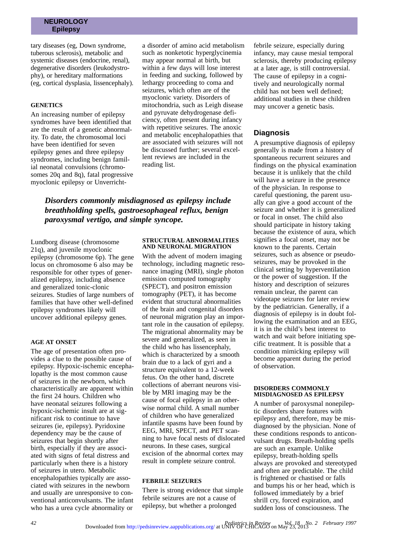tary diseases (eg, Down syndrome, tuberous sclerosis), metabolic and systemic diseases (endocrine, renal), degenerative disorders (leukodystrophy), or hereditary malformations (eg, cortical dysplasia, lissencephaly).

#### **GENETICS**

An increasing number of epilepsy syndromes have been identified that are the result of a genetic abnormality. To date, the chromosomal loci have been identified for seven epilepsy genes and three epilepsy syndromes, including benign familial neonatal convulsions (chromosomes 20q and 8q), fatal progressive myoclonic epilepsy or Unverrichta disorder of amino acid metabolism such as nonketotic hyperglycinemia may appear normal at birth, but within a few days will lose interest in feeding and sucking, followed by lethargy proceeding to coma and seizures, which often are of the myoclonic variety. Disorders of mitochondria, such as Leigh disease and pyruvate dehydrogenase deficiency, often present during infancy with repetitive seizures. The anoxic and metabolic encephalopathies that are associated with seizures will not be discussed further; several excellent reviews are included in the reading list.

# *Disorders commonly misdiagnosed as epilepsy include breathholding spells, gastroesophageal reflux, benign paroxysmal vertigo, and simple syncope.*

Lundborg disease (chromosome 21q), and juvenile myoclonic epilepsy (chromosome 6p). The gene locus on chromosome 6 also may be responsible for other types of generalized epilepsy, including absence and generalized tonic-clonic seizures. Studies of large numbers of families that have other well-defined epilepsy syndromes likely will uncover additional epilepsy genes.

#### **AGE AT ONSET**

The age of presentation often provides a clue to the possible cause of epilepsy. Hypoxic-ischemic encephalopathy is the most common cause of seizures in the newborn, which characteristically are apparent within the first 24 hours. Children who have neonatal seizures following a hypoxic-ischemic insult are at significant risk to continue to have seizures (ie, epilepsy). Pyridoxine dependency may be the cause of seizures that begin shortly after birth, especially if they are associated with signs of fetal distress and particularly when there is a history of seizures in utero. Metabolic encephalopathies typically are associated with seizures in the newborn and usually are unresponsive to conventional anticonvulsants. The infant who has a urea cycle abnormality or

#### **STRUCTURAL ABNORMALITIES AND NEURONAL MIGRATION**

With the advent of modern imaging technology, including magnetic resonance imaging (MRI), single photon emission computed tomography (SPECT), and positron emission tomography (PET), it has become evident that structural abnormalities of the brain and congenital disorders of neuronal migration play an important role in the causation of epilepsy. The migrational abnormality may be severe and generalized, as seen in the child who has lissencephaly, which is characterized by a smooth brain due to a lack of gyri and a structure equivalent to a 12-week fetus. On the other hand, discrete collections of aberrant neurons visible by MRI imaging may be the cause of focal epilepsy in an otherwise normal child. A small number of children who have generalized infantile spasms have been found by EEG, MRI, SPECT, and PET scanning to have focal nests of dislocated neurons. In these cases, surgical excision of the abnormal cortex may result in complete seizure control.

#### **FEBRILE SEIZURES**

There is strong evidence that simple febrile seizures are not a cause of epilepsy, but whether a prolonged

febrile seizure, especially during infancy, may cause mesial temporal sclerosis, thereby producing epilepsy at a later age, is still controversial. The cause of epilepsy in a cognitively and neurologically normal child has not been well defined; additional studies in these children may uncover a genetic basis.

# **Diagnosis**

A presumptive diagnosis of epilepsy generally is made from a history of spontaneous recurrent seizures and findings on the physical examination because it is unlikely that the child will have a seizure in the presence of the physician. In response to careful questioning, the parent usually can give a good account of the seizure and whether it is generalized or focal in onset. The child also should participate in history taking because the existence of aura, which signifies a focal onset, may not be known to the parents. Certain seizures, such as absence or pseudoseizures, may be provoked in the clinical setting by hyperventilation or the power of suggestion. If the history and description of seizures remain unclear, the parent can videotape seizures for later review by the pediatrician. Generally, if a diagnosis of epilepsy is in doubt following the examination and an EEG, it is in the child's best interest to watch and wait before initiating specific treatment. It is possible that a condition mimicking epilepsy will become apparent during the period of observation.

#### **DISORDERS COMMONLY MISDIAGNOSED AS EPILEPSY**

A number of paroxysmal nonepileptic disorders share features with epilepsy and, therefore, may be misdiagnosed by the physician. None of these conditions responds to anticonvulsant drugs. Breath-holding spells are such an example. Unlike epilepsy, breath-holding spells always are provoked and stereotyped and often are predictable. The child is frightened or chastised or falls and bumps his or her head, which is followed immediately by a brief shrill cry, forced expiration, and sudden loss of consciousness. The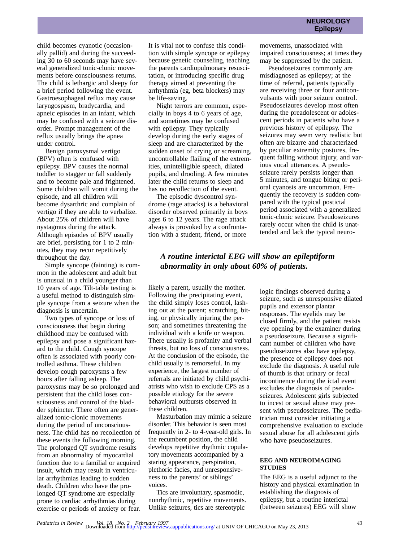child becomes cyanotic (occasionally pallid) and during the succeeding 30 to 60 seconds may have several generalized tonic-clonic movements before consciousness returns. The child is lethargic and sleepy for a brief period following the event. Gastroesophageal reflux may cause laryngospasm, bradycardia, and apneic episodes in an infant, which may be confused with a seizure disorder. Prompt management of the reflux usually brings the apnea under control.

Benign paroxysmal vertigo (BPV) often is confused with epilepsy. BPV causes the normal toddler to stagger or fall suddenly and to become pale and frightened. Some children will vomit during the episode, and all children will become dysarthric and complain of vertigo if they are able to verbalize. About 25% of children will have nystagmus during the attack. Although episodes of BPV usually are brief, persisting for 1 to 2 minutes, they may recur repetitively throughout the day.

Simple syncope (fainting) is common in the adolescent and adult but is unusual in a child younger than 10 years of age. Tilt-table testing is a useful method to distinguish simple syncope from a seizure when the diagnosis is uncertain.

Two types of syncope or loss of consciousness that begin during childhood may be confused with epilepsy and pose a significant hazard to the child. Cough syncope often is associated with poorly controlled asthma. These children develop cough paroxysms a few hours after falling asleep. The paroxysms may be so prolonged and persistent that the child loses consciousness and control of the bladder sphincter. There often are generalized tonic-clonic movements during the period of unconsciousness. The child has no recollection of these events the following morning. The prolonged QT syndrome results from an abnormality of myocardial function due to a familial or acquired insult, which may result in ventricular arrhythmias leading to sudden death. Children who have the prolonged QT syndrome are especially prone to cardiac arrhythmias during exercise or periods of anxiety or fear.

It is vital not to confuse this condition with simple syncope or epilepsy because genetic counseling, teaching the parents cardiopulmonary resuscitation, or introducing specific drug therapy aimed at preventing the arrhythmia (eg, beta blockers) may be life-saving.

Night terrors are common, especially in boys 4 to 6 years of age, and sometimes may be confused with epilepsy. They typically develop during the early stages of sleep and are characterized by the sudden onset of crying or screaming, uncontrollable flailing of the extremities, unintelligible speech, dilated pupils, and drooling. A few minutes later the child returns to sleep and has no recollection of the event.

The episodic dyscontrol syndrome (rage attacks) is a behavioral disorder observed primarily in boys ages 6 to 12 years. The rage attack always is provoked by a confrontation with a student, friend, or more

movements, unassociated with impaired consciousness; at times they may be suppressed by the patient.

Pseudoseizures commonly are misdiagnosed as epilepsy; at the time of referral, patients typically are receiving three or four anticonvulsants with poor seizure control. Pseudoseizures develop most often during the preadolescent or adolescent periods in patients who have a previous history of epilepsy. The seizures may seem very realistic but often are bizarre and characterized by peculiar extremity postures, frequent falling without injury, and various vocal utterances. A pseudoseizure rarely persists longer than 5 minutes, and tongue biting or perioral cyanosis are uncommon. Frequently the recovery is sudden compared with the typical postictal period associated with a generalized tonic-clonic seizure. Pseudoseizures rarely occur when the child is unattended and lack the typical neuro-

# *A routine interictal EEG will show an epileptiform abnormality in only about 60% of patients.*

likely a parent, usually the mother. Following the precipitating event, the child simply loses control, lashing out at the parent; scratching, biting, or physically injuring the person; and sometimes threatening the individual with a knife or weapon. There usually is profanity and verbal threats, but no loss of consciousness. At the conclusion of the episode, the child usually is remorseful. In my experience, the largest number of referrals are initiated by child psychiatrists who wish to exclude CPS as a possible etiology for the severe behavioral outbursts observed in these children.

Masturbation may mimic a seizure disorder. This behavior is seen most frequently in 2- to 4-year-old girls. In the recumbent position, the child develops repetitive rhythmic copulatory movements accompanied by a staring appearance, perspiration, plethoric facies, and unresponsiveness to the parents' or siblings' voices.

Tics are involuntary, spasmodic, nonrhythmic, repetitive movements. Unlike seizures, tics are stereotypic

logic findings observed during a seizure, such as unresponsive dilated pupils and extensor plantar responses. The eyelids may be closed firmly, and the patient resists eye opening by the examiner during a pseudoseizure. Because a significant number of children who have pseudoseizures also have epilepsy, the presence of epilepsy does not exclude the diagnosis. A useful rule of thumb is that urinary or fecal incontinence during the ictal event excludes the diagnosis of pseudoseizures. Adolescent girls subjected to incest or sexual abuse may present with pseudoseizures. The pediatrician must consider initiating a comprehensive evaluation to exclude sexual abuse for all adolescent girls who have pseudoseizures.

#### **EEG AND NEUROIMAGING STUDIES**

The EEG is a useful adjunct to the history and physical examination in establishing the diagnosis of epilepsy, but a routine interictal (between seizures) EEG will show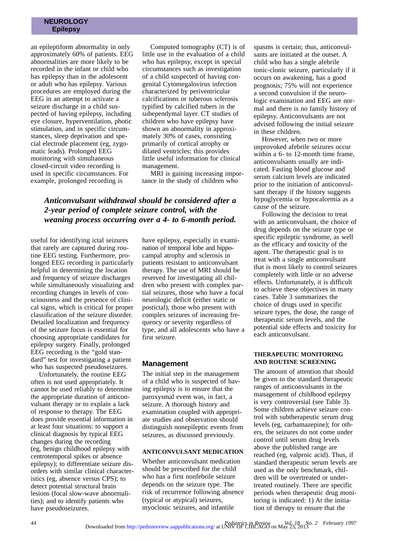an epileptiform abnormality in only approximately 60% of patients. EEG abnormalities are more likely to be recorded in the infant or child who has epilepsy than in the adolescent or adult who has epilepsy. Various procedures are employed during the EEG in an attempt to activate a seizure discharge in a child suspected of having epilepsy, including eye closure, hyperventilation, photic stimulation, and in specific circumstances, sleep deprivation and special electrode placement (eg, zygomatic leads). Prolonged EEG monitoring with simultaneous closed-circuit video recording is used in specific circumstances. For example, prolonged recording is

Computed tomography (CT) is of little use in the evaluation of a child who has epilepsy, except in special circumstances such as investigation of a child suspected of having congenital Cytomegalovirus infection characterized by periventricular calcifications or tuberous sclerosis typified by calcified tubers in the subependymal layer. CT studies of children who have epilepsy have shown an abnormality in approximately 30% of cases, consisting primarily of cortical atrophy or dilated ventricles; this provides little useful information for clinical management.

MRI is gaining increasing importance in the study of children who

# *Anticonvulsant withdrawal should be considered after a 2-year period of complete seizure control, with the weaning process occurring over a 4- to 6-month period.*

useful for identifying ictal seizures that rarely are captured during routine EEG testing. Furthermore, prolonged EEG recording is particularly helpful in determining the location and frequency of seizure discharges while simultaneously visualizing and recording changes in levels of consciousness and the presence of clinical signs, which is critical for proper classification of the seizure disorder. Detailed localization and frequency of the seizure focus is essential for choosing appropriate candidates for epilepsy surgery. Finally, prolonged EEG recording is the "gold standard" test for investigating a patient who has suspected pseudoseizures.

Unfortunately, the routine EEG often is not used appropriately. It cannot be used reliably to determine the appropriate duration of anticonvulsant therapy or to explain a lack of response to therapy. The EEG does provide essential information in at least four situations: to support a clinical diagnosis by typical EEG changes during the recording (eg, benign childhood epilepsy with centrotemporal spikes or absence epilepsy); to differentiate seizure disorders with similar clinical characteristics (eg, absence versus CPS); to detect potential structural brain lesions (focal slow-wave abnormalities); and to identify patients who have pseudoseizures.

have epilepsy, especially in examination of temporal lobe and hippocampal atrophy and sclerosis in patients resistant to anticonvulsant therapy. The use of MRI should be reserved for investigating all children who present with complex partial seizures, those who have a focal neurologic deficit (either static or postictal), those who present with complex seizures of increasing frequency or severity regardless of type, and all adolescents who have a first seizure.

# **Management**

The initial step in the management of a child who is suspected of having epilepsy is to ensure that the paroxysmal event was, in fact, a seizure. A thorough history and examination coupled with appropriate studies and observation should distinguish nonepileptic events from seizures, as discussed previously.

#### **ANTICONVULSANT MEDICATION**

Whether anticonvulsant medication should be prescribed for the child who has a first nonfebrile seizure depends on the seizure type. The risk of recurrence following absence (typical or atypical) seizures, myoclonic seizures, and infantile

spasms is certain; thus, anticonvulsants are initiated at the outset. A child who has a single afebrile tonic-clonic seizure, particularly if it occurs on awakening, has a good prognosis; 75% will not experience a second convulsion if the neurologic examination and EEG are normal and there is no family history of epilepsy. Anticonvulsants are not advised following the initial seizure in these children.

However, when two or more unprovoked afebrile seizures occur within a 6- to 12-month time frame, anticonvulsants usually are indicated. Fasting blood glucose and serum calcium levels are indicated prior to the initiation of anticonvulsant therapy if the history suggests hypoglycemia or hypocalcemia as a cause of the seizure.

Following the decision to treat with an anticonvulsant, the choice of drug depends on the seizure type or specific epileptic syndrome, as well as the efficacy and toxicity of the agent. The therapeutic goal is to treat with a single anticonvulsant that is most likely to control seizures completely with little or no adverse effects. Unfortunately, it is difficult to achieve these objectives in many cases. Table 3 summarizes the choice of drugs used in specific seizure types, the dose, the range of therapeutic serum levels, and the potential side effects and toxicity for each anticonvulsant.

#### **THERAPEUTIC MONITORING AND ROUTINE SCREENING**

The amount of attention that should be given to the standard therapeutic ranges of anticonvulsants in the management of childhood epilepsy is very controversial (see Table 3). Some children achieve seizure control with subtherapeutic serum drug levels (eg, carbamazepine); for others, the seizures do not come under control until serum drug levels above the published range are reached (eg, valproic acid). Thus, if standard therapeutic serum levels are used as the only benchmark, children will be overtreated or undertreated routinely. There are specific periods when therapeutic drug monitoring is indicated: 1) At the initiation of therapy to ensure that the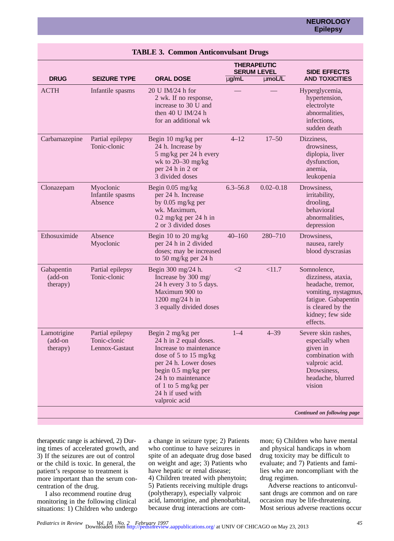| <b>DRUG</b>                         | <b>SEIZURE TYPE</b>                                | <b>ORAL DOSE</b>                                                                                                                                                                                                                    | µg/mL        | <b>THERAPEUTIC</b><br><b>SERUM LEVEL</b><br>µmoL/L | <b>SIDE EFFECTS</b><br><b>AND TOXICITIES</b>                                                                                                               |
|-------------------------------------|----------------------------------------------------|-------------------------------------------------------------------------------------------------------------------------------------------------------------------------------------------------------------------------------------|--------------|----------------------------------------------------|------------------------------------------------------------------------------------------------------------------------------------------------------------|
| <b>ACTH</b>                         | Infantile spasms                                   | 20 U IM/24 h for<br>2 wk. If no response,<br>increase to 30 U and<br>then 40 U IM/24 h<br>for an additional wk                                                                                                                      |              |                                                    | Hyperglycemia,<br>hypertension,<br>electrolyte<br>abnormalities,<br>infections,<br>sudden death                                                            |
| Carbamazepine                       | Partial epilepsy<br>Tonic-clonic                   | Begin 10 mg/kg per<br>24 h. Increase by<br>5 mg/kg per 24 h every<br>wk to $20-30$ mg/kg<br>per 24 h in 2 or<br>3 divided doses                                                                                                     | $4 - 12$     | $17 - 50$                                          | Dizziness,<br>drowsiness,<br>diplopia, liver<br>dysfunction,<br>anemia,<br>leukopenia                                                                      |
| Clonazepam                          | Myoclonic<br>Infantile spasms<br>Absence           | Begin 0.05 mg/kg<br>per 24 h. Increase<br>by 0.05 mg/kg per<br>wk. Maximum.<br>$0.2$ mg/kg per 24 h in<br>2 or 3 divided doses                                                                                                      | $6.3 - 56.8$ | $0.02 - 0.18$                                      | Drowsiness,<br>irritability,<br>drooling,<br>behavioral<br>abnormalities,<br>depression                                                                    |
| Ethosuximide                        | Absence<br>Myoclonic                               | Begin 10 to 20 mg/kg<br>per 24 h in 2 divided<br>doses; may be increased<br>to 50 mg/kg per 24 h                                                                                                                                    | $40 - 160$   | 280-710                                            | Drowsiness,<br>nausea, rarely<br>blood dyscrasias                                                                                                          |
| Gabapentin<br>(add-on<br>therapy)   | Partial epilepsy<br>Tonic-clonic                   | Begin 300 mg/24 h.<br>Increase by 300 mg/<br>24 h every 3 to 5 days.<br>Maximum 900 to<br>1200 mg/24 h in<br>3 equally divided doses                                                                                                | $\leq$ 2     | <11.7                                              | Somnolence,<br>dizziness, ataxia,<br>headache, tremor,<br>vomiting, nystagmus,<br>fatigue. Gabapentin<br>is cleared by the<br>kidney; few side<br>effects. |
| Lamotrigine<br>(add-on<br>(therapy) | Partial epilepsy<br>Tonic-clonic<br>Lennox-Gastaut | Begin 2 mg/kg per<br>24 h in 2 equal doses.<br>Increase to maintenance<br>dose of 5 to 15 mg/kg<br>per 24 h. Lower doses<br>begin 0.5 mg/kg per<br>24 h to maintenance<br>of 1 to 5 mg/kg per<br>24 h if used with<br>valproic acid | $1 - 4$      | $4 - 39$                                           | Severe skin rashes,<br>especially when<br>given in<br>combination with<br>valproic acid.<br>Drowsiness,<br>headache, blurred<br>vision                     |
|                                     |                                                    |                                                                                                                                                                                                                                     |              |                                                    | Continued on following page                                                                                                                                |

# **TABLE 3. Common Anticonvulsant Drugs**

therapeutic range is achieved, 2) During times of accelerated growth, and 3) If the seizures are out of control or the child is toxic. In general, the patient's response to treatment is more important than the serum concentration of the drug.

I also recommend routine drug monitoring in the following clinical situations: 1) Children who undergo a change in seizure type; 2) Patients who continue to have seizures in spite of an adequate drug dose based on weight and age; 3) Patients who have hepatic or renal disease; 4) Children treated with phenytoin; 5) Patients receiving multiple drugs (polytherapy), especially valproic acid, lamotrigine, and phenobarbital, because drug interactions are common; 6) Children who have mental and physical handicaps in whom drug toxicity may be difficult to evaluate; and 7) Patients and families who are noncompliant with the drug regimen.

Adverse reactions to anticonvulsant drugs are common and on rare occasion may be life-threatening. Most serious adverse reactions occur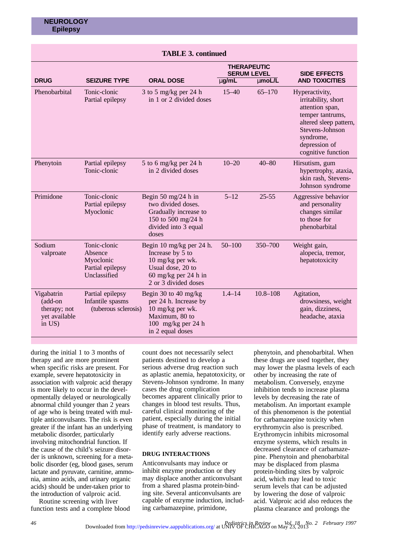| <b>TABLE 3. continued</b>                                        |                                                                          |                                                                                                                                       |            |                                          |                                                                                                                                                                               |
|------------------------------------------------------------------|--------------------------------------------------------------------------|---------------------------------------------------------------------------------------------------------------------------------------|------------|------------------------------------------|-------------------------------------------------------------------------------------------------------------------------------------------------------------------------------|
|                                                                  |                                                                          |                                                                                                                                       |            | <b>THERAPEUTIC</b><br><b>SERUM LEVEL</b> | <b>SIDE EFFECTS</b>                                                                                                                                                           |
| <b>DRUG</b>                                                      | <b>SEIZURE TYPE</b>                                                      | <b>ORAL DOSE</b>                                                                                                                      | $\mu$ g/mL | $µ$ moL/L                                | <b>AND TOXICITIES</b>                                                                                                                                                         |
| Phenobarbital                                                    | Tonic-clonic<br>Partial epilepsy                                         | 3 to 5 mg/kg per 24 h<br>in 1 or 2 divided doses                                                                                      | $15 - 40$  | $65 - 170$                               | Hyperactivity,<br>irritability, short<br>attention span,<br>temper tantrums,<br>altered sleep pattern,<br>Stevens-Johnson<br>syndrome,<br>depression of<br>cognitive function |
| Phenytoin                                                        | Partial epilepsy<br>Tonic-clonic                                         | 5 to 6 mg/kg per 24 h<br>in 2 divided doses                                                                                           | $10 - 20$  | $40 - 80$                                | Hirsutism, gum<br>hypertrophy, ataxia,<br>skin rash, Stevens-<br>Johnson syndrome                                                                                             |
| Primidone                                                        | Tonic-clonic<br>Partial epilepsy<br>Myoclonic                            | Begin 50 mg/24 h in<br>two divided doses.<br>Gradually increase to<br>150 to 500 mg/24 h<br>divided into 3 equal<br>doses             | $5 - 12$   | $25 - 55$                                | Aggressive behavior<br>and personality<br>changes similar<br>to those for<br>phenobarbital                                                                                    |
| Sodium<br>valproate                                              | Tonic-clonic<br>Absence<br>Myoclonic<br>Partial epilepsy<br>Unclassified | Begin 10 mg/kg per 24 h.<br>Increase by 5 to<br>10 mg/kg per wk.<br>Usual dose, 20 to<br>60 mg/kg per 24 h in<br>2 or 3 divided doses | $50 - 100$ | $350 - 700$                              | Weight gain,<br>alopecia, tremor,<br>hepatotoxicity                                                                                                                           |
| Vigabatrin<br>(add-on<br>therapy; not<br>yet available<br>in US) | Partial epilepsy<br>Infantile spasms<br>(tuberous sclerosis)             | Begin 30 to 40 mg/kg<br>per 24 h. Increase by<br>10 mg/kg per wk.<br>Maximum, 80 to<br>100 mg/kg per 24 h<br>in 2 equal doses         | $1.4 - 14$ | $10.8 - 108$                             | Agitation,<br>drowsiness, weight<br>gain, dizziness,<br>headache, ataxia                                                                                                      |

during the initial 1 to 3 months of therapy and are more prominent when specific risks are present. For example, severe hepatotoxicity in association with valproic acid therapy is more likely to occur in the developmentally delayed or neurologically abnormal child younger than 2 years of age who is being treated with multiple anticonvulsants. The risk is even greater if the infant has an underlying metabolic disorder, particularly involving mitochondrial function. If the cause of the child's seizure disorder is unknown, screening for a metabolic disorder (eg, blood gases, serum lactate and pyruvate, carnitine, ammonia, amino acids, and urinary organic acids) should be under-taken prior to the introduction of valproic acid.

Routine screening with liver function tests and a complete blood count does not necessarily select patients destined to develop a serious adverse drug reaction such as aplastic anemia, hepatotoxicity, or Stevens-Johnson syndrome. In many cases the drug complication becomes apparent clinically prior to changes in blood test results. Thus, careful clinical monitoring of the patient, especially during the initial phase of treatment, is mandatory to identify early adverse reactions.

#### **DRUG INTERACTIONS**

Anticonvulsants may induce or inhibit enzyme production or they may displace another anticonvulsant from a shared plasma protein-binding site. Several anticonvulsants are capable of enzyme induction, including carbamazepine, primidone,

phenytoin, and phenobarbital. When these drugs are used together, they may lower the plasma levels of each other by increasing the rate of metabolism. Conversely, enzyme inhibition tends to increase plasma levels by decreasing the rate of metabolism. An important example of this phenomenon is the potential for carbamazepine toxicity when erythromycin also is prescribed. Erythromycin inhibits microsomal enzyme systems, which results in decreased clearance of carbamazepine. Phenytoin and phenobarbital may be displaced from plasma protein-binding sites by valproic acid, which may lead to toxic serum levels that can be adjusted by lowering the dose of valproic acid. Valproic acid also reduces the plasma clearance and prolongs the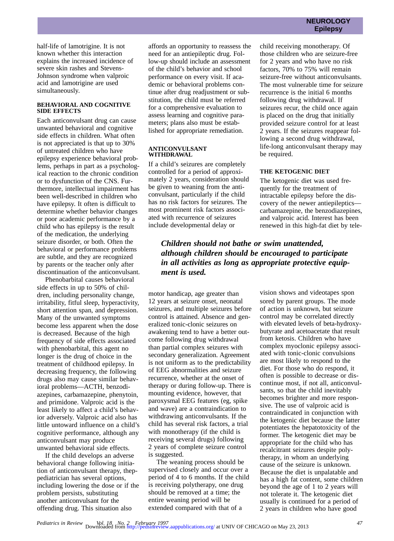#### **BEHAVIORAL AND COGNITIVE SIDE EFFECTS**

Each anticonvulsant drug can cause unwanted behavioral and cognitive side effects in children. What often is not appreciated is that up to 30% of untreated children who have epilepsy experience behavioral problems, perhaps in part as a psychological reaction to the chronic condition or to dysfunction of the CNS. Furthermore, intellectual impairment has been well-described in children who have epilepsy. It often is difficult to determine whether behavior changes or poor academic performance by a child who has epilepsy is the result of the medication, the underlying seizure disorder, or both. Often the behavioral or performance problems are subtle, and they are recognized by parents or the teacher only after discontinuation of the anticonvulsant.

Phenobarbital causes behavioral side effects in up to 50% of children, including personality change, irritability, fitful sleep, hyperactivity, short attention span, and depression. Many of the unwanted symptoms become less apparent when the dose is decreased. Because of the high frequency of side effects associated with phenobarbital, this agent no longer is the drug of choice in the treatment of childhood epilepsy. In decreasing frequency, the following drugs also may cause similar behavioral problems—ACTH, benzodiazepines, carbamazepine, phenytoin, and primidone. Valproic acid is the least likely to affect a child's behavior adversely. Valproic acid also has little untoward influence on a child's cognitive performance, although any anticonvulsant may produce unwanted behavioral side effects.

If the child develops an adverse behavioral change following initiation of anticonvulsant therapy, theppediatrician has several options, including lowering the dose or if the problem persists, substituting another anticonvulsant for the offending drug. This situation also

affords an opportunity to reassess the need for an antiepileptic drug. Follow-up should include an assessment of the child's behavior and school performance on every visit. If academic or behavioral problems continue after drug readjustment or substitution, the child must be referred for a comprehensive evaluation to assess learning and cognitive parameters; plans also must be established for appropriate remediation.

#### **ANTICONVULSANT WITHDRAWAL**

If a child's seizures are completely controlled for a period of approximately 2 years, consideration should be given to weaning from the anticonvulsant, particularly if the child has no risk factors for seizures. The most prominent risk factors associated with recurrence of seizures include developmental delay or

**NEUROLOGY Epilepsy**

child receiving monotherapy. Of those children who are seizure-free for 2 years and who have no risk factors, 70% to 75% will remain seizure-free without anticonvulsants. The most vulnerable time for seizure recurrence is the initial 6 months following drug withdrawal. If seizures recur, the child once again is placed on the drug that initially provided seizure control for at least 2 years. If the seizures reappear following a second drug withdrawal, life-long anticonvulsant therapy may be required.

#### **THE KETOGENIC DIET**

The ketogenic diet was used frequently for the treatment of intractable epilepsy before the discovery of the newer antiepileptics carbamazepine, the benzodiazepines, and valproic acid. Interest has been renewed in this high-fat diet by tele-

*Children should not bathe or swim unattended, although children should be encouraged to participate in all activities as long as appropriate protective equipment is used.*

motor handicap, age greater than 12 years at seizure onset, neonatal seizures, and multiple seizures before control is attained. Absence and generalized tonic-clonic seizures on awakening tend to have a better outcome following drug withdrawal than partial complex seizures with secondary generalization. Agreement is not uniform as to the predictability of EEG abnormalities and seizure recurrence, whether at the onset of therapy or during follow-up. There is mounting evidence, however, that paroxysmal EEG features (eg, spike and wave) are a contraindication to withdrawing anticonvulsants. If the child has several risk factors, a trial with monotherapy (if the child is receiving several drugs) following 2 years of complete seizure control is suggested.

The weaning process should be supervised closely and occur over a period of 4 to 6 months. If the child is receiving polytherapy, one drug should be removed at a time; the entire weaning period will be extended compared with that of a

vision shows and videotapes spon sored by parent groups. The mode of action is unknown, but seizure control may be correlated directly with elevated levels of beta-hydroxybutyrate and acetoacetate that result from ketosis. Children who have complex myoclonic epilepsy associated with tonic-clonic convulsions are most likely to respond to the diet. For those who do respond, it often is possible to decrease or discontinue most, if not all, anticonvulsants, so that the child inevitably becomes brighter and more responsive. The use of valproic acid is contraindicated in conjunction with the ketogenic diet because the latter potentiates the hepatotoxicity of the former. The ketogenic diet may be appropriate for the child who has recalcitrant seizures despite polytherapy, in whom an underlying cause of the seizure is unknown. Because the diet is unpalatable and has a high fat content, some children beyond the age of 1 to 2 years will not tolerate it. The ketogenic diet usually is continued for a period of 2 years in children who have good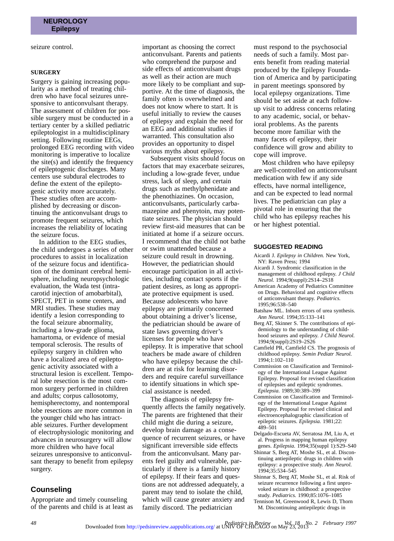seizure control.

#### **SURGERY**

Surgery is gaining increasing popularity as a method of treating children who have focal seizures unresponsive to anticonvulsant therapy. The assessment of children for possible surgery must be conducted in a tertiary center by a skilled pediatric epileptologist in a multidisciplinary setting. Following routine EEGs, prolonged EEG recording with video monitoring is imperative to localize the site(s) and identify the frequency of epileptogenic discharges. Many centers use subdural electrodes to define the extent of the epileptogenic activity more accurately. These studies often are accomplished by decreasing or discontinuing the anticonvulsant drugs to promote frequent seizures, which increases the reliability of locating the seizure focus.

In addition to the EEG studies, the child undergoes a series of other procedures to assist in localization of the seizure focus and identification of the dominant cerebral hemisphere, including neuropsychologic evaluation, the Wada test (intracarotid injection of amobarbital), SPECT, PET in some centers, and MRI studies. These studies may identify a lesion corresponding to the focal seizure abnormality, including a low-grade glioma, hamartoma, or evidence of mesial temporal sclerosis. The results of epilepsy surgery in children who have a localized area of epileptogenic activity associated with a structural lesion is excellent. Temporal lobe resection is the most common surgery performed in children and adults; corpus callosotomy, hemispherectomy, and nontemporal lobe resections are more common in the younger child who has intractable seizures. Further development of electrophysiologic monitoring and advances in neurosurgery will allow more children who have focal seizures unresponsive to anticonvulsant therapy to benefit from epilepsy surgery.

# **Counseling**

Appropriate and timely counseling of the parents and child is at least as important as choosing the correct anticonvulsant. Parents and patients who comprehend the purpose and side effects of anticonvulsant drugs as well as their action are much more likely to be compliant and supportive. At the time of diagnosis, the family often is overwhelmed and does not know where to start. It is useful initially to review the causes of epilepsy and explain the need for an EEG and additional studies if warranted. This consultation also provides an opportunity to dispel various myths about epilepsy.

Subsequent visits should focus on factors that may exacerbate seizures, including a low-grade fever, undue stress, lack of sleep, and certain drugs such as methylphenidate and the phenothiazines. On occasion, anticonvulsants, particularly carbamazepine and phenytoin, may potentiate seizures. The physician should review first-aid measures that can be initiated at home if a seizure occurs. I recommend that the child not bathe or swim unattended because a seizure could result in drowning. However, the pediatrician should encourage participation in all activities, including contact sports if the patient desires, as long as appropriate protective equipment is used. Because adolescents who have epilepsy are primarily concerned about obtaining a driver's license, the pediatrician should be aware of state laws governing driver's licenses for people who have epilepsy. It is imperative that school teachers be made aware of children who have epilepsy because the children are at risk for learning disorders and require careful surveillance to identify situations in which special assistance is needed.

The diagnosis of epilepsy frequently affects the family negatively. The parents are frightened that their child might die during a seizure, develop brain damage as a consequence of recurrent seizures, or have significant irreversible side effects from the anticonvulsant. Many parents feel guilty and vulnerable, particularly if there is a family history of epilepsy. If their fears and questions are not addressed adequately, a parent may tend to isolate the child, which will cause greater anxiety and family discord. The pediatrician

must respond to the psychosocial needs of such a family. Most parents benefit from reading material produced by the Epilepsy Foundation of America and by participating in parent meetings sponsored by local epilepsy organizations. Time should be set aside at each followup visit to address concerns relating to any academic, social, or behavioral problems. As the parents become more familiar with the many facets of epilepsy, their confidence will grow and ability to cope will improve.

Most children who have epilepsy are well-controlled on anticonvulsant medication with few if any side effects, have normal intelligence, and can be expected to lead normal lives. The pediatrician can play a pivotal role in ensuring that the child who has epilepsy reaches his or her highest potential.

#### **SUGGESTED READING**

- Aicardi J. *Epilepsy in Children.* New York, NY: Raven Press; 1994
- Aicardi J. Syndromic classification in the management of childhood epilepsy. *J Child Neurol.* 1994;9(suppl):2S14–2S18
- American Academy of Pediatrics Committee on Drugs. Behavioral and cognitive effects of anticonvulsant therapy. *Pediatrics.* 1995;96:538–540
- Batshaw ML. Inborn errors of urea synthesis. *Ann Neurol.* 1994;35:133–141
- Berg AT, Skinner S. The contributions of epidemiology to the understanding of childhood seizures and epilepsy. *J Child Neurol.* 1994;9(suppl):2S19–2S26
- Camfield PR, Camfield CS. The prognosis of childhood epilepsy. *Semin Pediatr Neurol.* 1994;1:102–110
- Commission on Classification and Terminology of the International League Against Epilepsy. Proposal for revised classification of epilepsies and epileptic syndromes. *Epilepsia.* 1989;30:389–399
- Commission on Classification and Terminology of the International League Against Epilepsy. Proposal for revised clinical and electroencephalographic classification of epileptic seizures. *Epilepsia.* 1981;22: 489–501
- Delgado-Escueta AV, Serratosa JM, Liu A, et al. Progress in mapping human epilepsy genes. *Epilepsia.* 1994;35(suppl 1):S29–S40
- Shinnar S, Berg AT, Moshe SL, et al. Discontinuing antiepileptic drugs in children with epilepsy: a prospective study. *Ann Neurol.* 1994;35:534–545
- Shinnar S, Berg AT, Moshe SL, et al. Risk of seizure recurrence following a first unprovoked seizure in childhood: a prospective study. *Pediatrics.* 1990;85:1076–1085
- Tennison M, Greenwood R, Lewis D, Thorn M. Discontinuing antiepileptic drugs in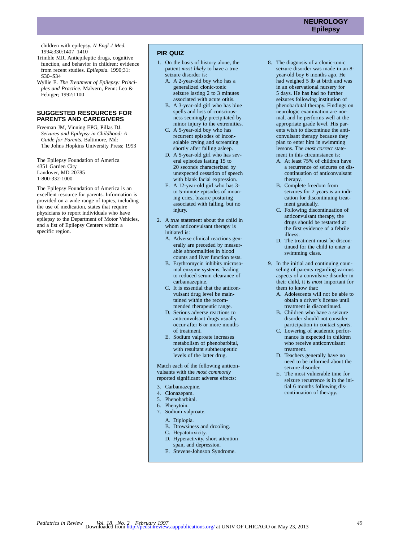children with epilepsy. *N Engl J Med.* 1994;330:1407–1410

- Trimble MR. Antiepileptic drugs, cognitive function, and behavior in children: evidence from recent studies. *Epilepsia.* 1990;31: S30–S34
- Wyllie E. *The Treatment of Epilepsy: Principles and Practice.* Malvern, Penn: Lea & Febiger; 1992:1100

#### **SUGGESTED RESOURCES FOR PARENTS AND CAREGIVERS**

Freeman JM, Vinning EPG, Pillas DJ. *Seizures and Epilepsy in Childhood: A Guide for Parents.* Baltimore, Md: The Johns Hopkins University Press; 1993

The Epilepsy Foundation of America 4351 Garden City Landover, MD 20785 1-800-332-1000

The Epilepsy Foundation of America is an excellent resource for parents. Information is provided on a wide range of topics, including the use of medication, states that require physicians to report individuals who have epilepsy to the Department of Motor Vehicles, and a list of Epilepsy Centers within a specific region.

# **PIR QUIZ**

- 1. On the basis of history alone, the patient *most likely* to have a true seizure disorder is:
	- A. A 2-year-old boy who has a generalized clonic-tonic seizure lasting 2 to 3 minutes associated with acute otitis.
	- B. A 3-year-old girl who has blue spells and loss of consciousness seemingly precipitated by minor injury to the extremities.
	- C. A 5-year-old boy who has recurrent episodes of inconsolable crying and screaming shortly after falling asleep.
	- D. A 5-year-old girl who has several episodes lasting 15 to 20 seconds characterized by unexpected cessation of speech with blank facial expression.
	- E. A 12-year-old girl who has 3 to 5-minute episodes of moaning cries, bizarre posturing associated with falling, but no injury.
- 2. A *true* statement about the child in whom anticonvulsant therapy is initiated is:
	- A. Adverse clinical reactions generally are preceded by measurable abnormalities in blood counts and liver function tests.
	- B. Erythromycin inhibits microsomal enzyme systems, leading to reduced serum clearance of carbamazepine.
	- C. It is essential that the anticonvulsant drug level be maintained within the recommended therapeutic range.
	- D. Serious adverse reactions to anticonvulsant drugs usually occur after 6 or more months of treatment.
	- E. Sodium valproate increases metabolism of phenobarbital, with resultant subtherapeutic levels of the latter drug.

Match each of the following anticonvulsants with the *most commonly* reported significant adverse effects:

- 3. Carbamazepine.
- 4. Clonazepam.
- 5. Phenobarbital.
- 6. Phenytoin.
- 7. Sodium valproate.
	- A. Diplopia.
	- B. Drowsiness and drooling.
	- C. Hepatotoxicity.
	- D. Hyperactivity, short attention span, and depression.
	- E. Stevens-Johnson Syndrome.
- 8. The diagnosis of a clonic-tonic seizure disorder was made in an 8 year-old boy 6 months ago. He had weighed 5 lb at birth and was in an observational nursery for 5 days. He has had no further seizures following institution of phenobarbital therapy. Findings on neurologic examination are normal, and he performs well at the appropriate grade level. His parents wish to discontinue the anticonvulsant therapy because they plan to enter him in swimming lessons. The *most correct* statement in this circumstance is:
	- A. At least 75% of children have a recurrence of seizures on discontinuation of anticonvulsant therapy.
	- B. Complete freedom from seizures for 2 years is an indication for discontinuing treatment gradually.
	- C. Following discontinuation of anticonvulsant therapy, the drugs should be restarted at the first evidence of a febrile illness.
	- D. The treatment must be discontinued for the child to enter a swimming class.
- 9. In the initial and continuing counseling of parents regarding various aspects of a convulsive disorder in their child, it is *most* important for them to know that:
	- A. Adolescents will not be able to obtain a driver's license until treatment is discontinued.
	- B. Children who have a seizure disorder should not consider participation in contact sports.
	- C. Lowering of academic performance is expected in children who receive anticonvulsant treatment.
	- D. Teachers generally have no need to be informed about the seizure disorder.
	- E. The most vulnerable time for seizure recurrence is in the initial 6 months following discontinuation of therapy.